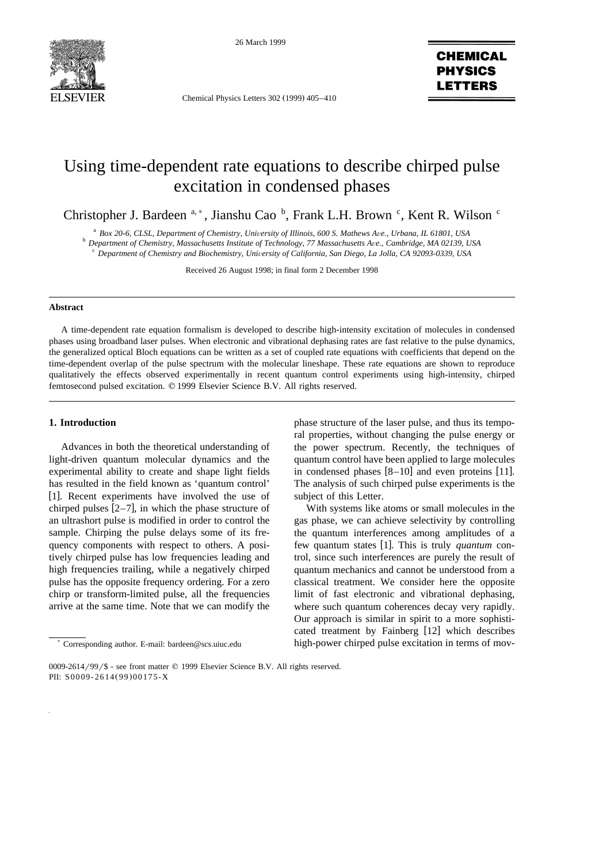

26 March 1999

Chemical Physics Letters 302 (1999) 405-410

# **CHEMICAL PHYSICS ETTERS**

# Using time-dependent rate equations to describe chirped pulse excitation in condensed phases

Christopher J. Bardeen <sup>a,\*</sup>, Jianshu Cao <sup>b</sup>, Frank L.H. Brown <sup>c</sup>, Kent R. Wilson <sup>c</sup>

 $^{\text{a}}$  Box 20-6, CLSL, Department of Chemistry, University of Illinois, 600 S. Mathews Ave., Urbana, IL 61801, USA<br>  $^{\text{b}}$  Department of Chemistry, Massachusetts Institute of Technology, 77 Massachusetts Ave., Cambrid

Received 26 August 1998; in final form 2 December 1998

#### **Abstract**

A time-dependent rate equation formalism is developed to describe high-intensity excitation of molecules in condensed phases using broadband laser pulses. When electronic and vibrational dephasing rates are fast relative to the pulse dynamics, the generalized optical Bloch equations can be written as a set of coupled rate equations with coefficients that depend on the time-dependent overlap of the pulse spectrum with the molecular lineshape. These rate equations are shown to reproduce qualitatively the effects observed experimentally in recent quantum control experiments using high-intensity, chirped femtosecond pulsed excitation.  $© 1999$  Elsevier Science B.V. All rights reserved.

### **1. Introduction**

Advances in both the theoretical understanding of light-driven quantum molecular dynamics and the experimental ability to create and shape light fields has resulted in the field known as 'quantum control' [1]. Recent experiments have involved the use of chirped pulses  $[2-7]$ , in which the phase structure of an ultrashort pulse is modified in order to control the sample. Chirping the pulse delays some of its frequency components with respect to others. A positively chirped pulse has low frequencies leading and high frequencies trailing, while a negatively chirped pulse has the opposite frequency ordering. For a zero chirp or transform-limited pulse, all the frequencies arrive at the same time. Note that we can modify the

phase structure of the laser pulse, and thus its temporal properties, without changing the pulse energy or the power spectrum. Recently, the techniques of quantum control have been applied to large molecules in condensed phases  $[8-10]$  and even proteins [11]. The analysis of such chirped pulse experiments is the subject of this Letter.

With systems like atoms or small molecules in the gas phase, we can achieve selectivity by controlling the quantum interferences among amplitudes of a few quantum states [1]. This is truly *quantum* control, since such interferences are purely the result of quantum mechanics and cannot be understood from a classical treatment. We consider here the opposite limit of fast electronic and vibrational dephasing, where such quantum coherences decay very rapidly. Our approach is similar in spirit to a more sophisticated treatment by Fainberg [12] which describes high-power chirped pulse excitation in terms of mov-

<sup>)</sup> Corresponding author. E-mail: bardeen@scs.uiuc.edu

<sup>0009-2614/99/\$ -</sup> see front matter © 1999 Elsevier Science B.V. All rights reserved. PII: S0009-2614(99)00175-X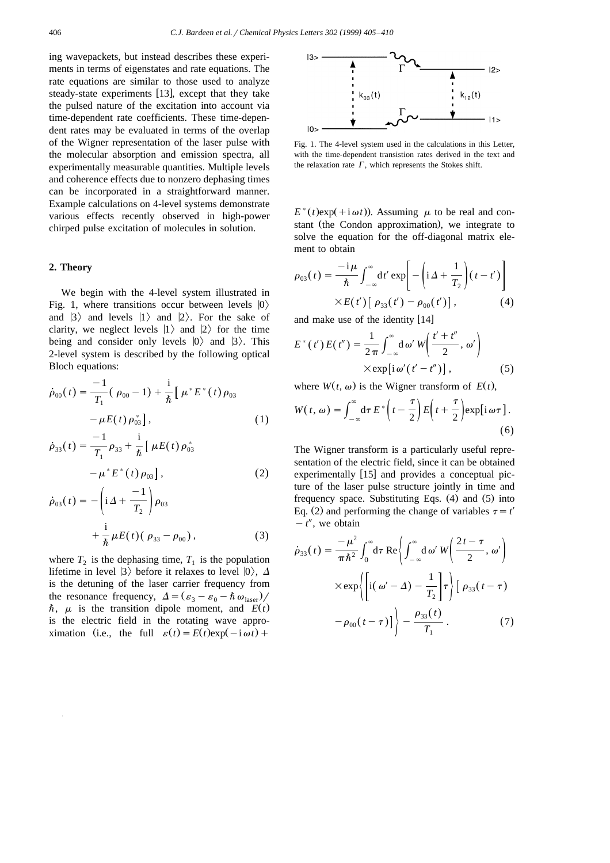ing wavepackets, but instead describes these experiments in terms of eigenstates and rate equations. The rate equations are similar to those used to analyze steady-state experiments [13], except that they take the pulsed nature of the excitation into account via time-dependent rate coefficients. These time-dependent rates may be evaluated in terms of the overlap of the Wigner representation of the laser pulse with the molecular absorption and emission spectra, all experimentally measurable quantities. Multiple levels and coherence effects due to nonzero dephasing times can be incorporated in a straightforward manner. Example calculations on 4-level systems demonstrate various effects recently observed in high-power chirped pulse excitation of molecules in solution.

#### **2. Theory**

We begin with the 4-level system illustrated in Fig. 1, where transitions occur between levels  $|0\rangle$ and  $|3\rangle$  and levels  $|1\rangle$  and  $|2\rangle$ . For the sake of clarity, we neglect levels  $|1\rangle$  and  $|2\rangle$  for the time being and consider only levels  $|0\rangle$  and  $|3\rangle$ . This 2-level system is described by the following optical Bloch equations:

$$
\dot{\rho}_{00}(t) = \frac{-1}{T_1} (\rho_{00} - 1) + \frac{i}{\hbar} [\mu^* E^* (t) \rho_{03} - \mu E(t) \rho_{03}], \qquad (1)
$$

$$
\dot{\rho}_{33}(t) = \frac{-1}{T_1} \rho_{33} + \frac{i}{\hbar} \left[ \mu E(t) \rho_{03}^* - \mu^* E^*(t) \rho_{03} \right],
$$
\n(2)

$$
\dot{\rho}_{03}(t) = -\left(i\Delta + \frac{-1}{T_2}\right)\rho_{03} \n+ \frac{i}{\hbar}\mu E(t) (\rho_{33} - \rho_{00}),
$$
\n(3)

where  $T_2$  is the dephasing time,  $T_1$  is the population lifetime in level  $|3\rangle$  before it relaxes to level  $|0\rangle$ ,  $\Delta$ is the detuning of the laser carrier frequency from the resonance frequency,  $\Delta = (\varepsilon_3 - \varepsilon_0 - \hbar \omega_{\text{laser}})/$  $\hbar$ ,  $\mu$  is the transition dipole moment, and  $E(t)$ is the electric field in the rotating wave approximation (i.e., the full  $\varepsilon(t) = E(t) \exp(-i \omega t) +$ 



Fig. 1. The 4-level system used in the calculations in this Letter, with the time-dependent transistion rates derived in the text and the relaxation rate  $\Gamma$ , which represents the Stokes shift.

 $E^*(t)$ exp(+i $\omega t$ )). Assuming  $\mu$  to be real and constant (the Condon approximation), we integrate to solve the equation for the off-diagonal matrix element to obtain

$$
\rho_{03}(t) = \frac{-i\mu}{\hbar} \int_{-\infty}^{\infty} dt' \exp\left[-\left(i\Delta + \frac{1}{T_2}\right)(t - t')\right]
$$

$$
\times E(t')\left[\rho_{33}(t') - \rho_{00}(t')\right],
$$
(4)

and make use of the identity  $[14]$ 

$$
E^*(t')E(t'') = \frac{1}{2\pi} \int_{-\infty}^{\infty} d\omega' W\left(\frac{t'+t''}{2}, \omega'\right)
$$
  
× $\exp[i\omega'(t'-t'')]$ , (5)

where  $W(t, \omega)$  is the Wigner transform of  $E(t)$ ,

$$
W(t, \omega) = \int_{-\infty}^{\infty} d\tau E^* \left( t - \frac{\tau}{2} \right) E \left( t + \frac{\tau}{2} \right) \exp[i \omega \tau]. \tag{6}
$$

The Wigner transform is a particularly useful representation of the electric field, since it can be obtained experimentally  $[15]$  and provides a conceptual picture of the laser pulse structure jointly in time and frequency space. Substituting Eqs.  $(4)$  and  $(5)$  into Eq. (2) and performing the change of variables  $\tau = t'$  $-t''$ , we obtain

$$
\dot{\rho}_{33}(t) = \frac{-\mu^2}{\pi \hbar^2} \int_0^{\infty} d\tau \operatorname{Re} \left\{ \int_{-\infty}^{\infty} d\omega' W \left( \frac{2t - \tau}{2}, \omega' \right) \right\}
$$

$$
\times \exp \left\{ \left[ i(\omega' - \Delta) - \frac{1}{T_2} \right] \tau \right\} \left[ \rho_{33}(t - \tau) \right]
$$

$$
- \rho_{00}(t - \tau) \left] \right\} - \frac{\rho_{33}(t)}{T_1}.
$$
(7)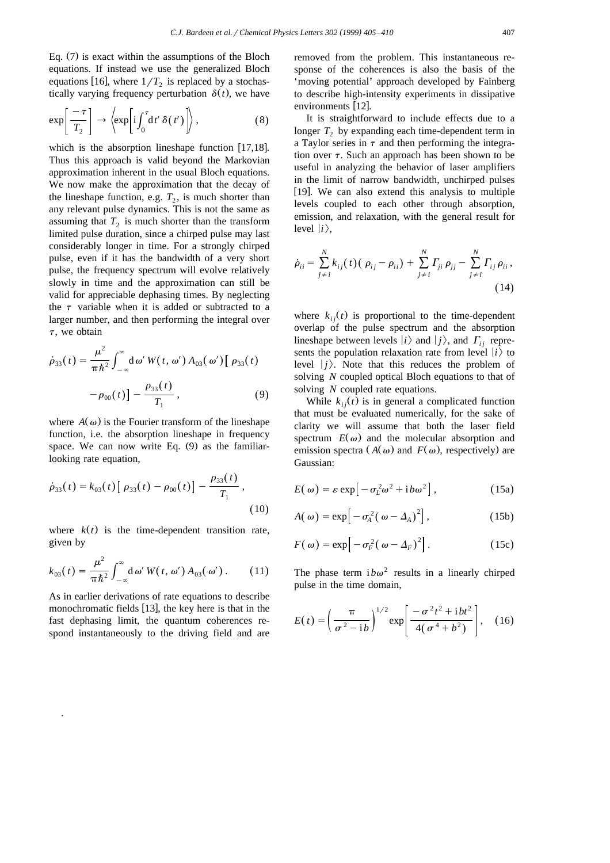Eq.  $(7)$  is exact within the assumptions of the Bloch equations. If instead we use the generalized Bloch equations [16], where  $1/T_2$  is replaced by a stochastically varying frequency perturbation  $\delta(t)$ , we have

$$
\exp\left[\frac{-\tau}{T_2}\right] \to \left\langle \exp\left[i\int_0^{\tau} dt' \,\delta(t')\right]\right\rangle, \tag{8}
$$

which is the absorption lineshape function  $[17,18]$ . Thus this approach is valid beyond the Markovian approximation inherent in the usual Bloch equations. We now make the approximation that the decay of the lineshape function, e.g.  $T_2$ , is much shorter than any relevant pulse dynamics. This is not the same as assuming that  $T_2$  is much shorter than the transform limited pulse duration, since a chirped pulse may last considerably longer in time. For a strongly chirped pulse, even if it has the bandwidth of a very short pulse, the frequency spectrum will evolve relatively slowly in time and the approximation can still be valid for appreciable dephasing times. By neglecting the  $\tau$  variable when it is added or subtracted to a larger number, and then performing the integral over  $\tau$ , we obtain

$$
\dot{\rho}_{33}(t) = \frac{\mu^2}{\pi \hbar^2} \int_{-\infty}^{\infty} d\omega' W(t, \omega') A_{03}(\omega') [\rho_{33}(t) -\rho_{00}(t)] - \frac{\rho_{33}(t)}{T_1},
$$
\n(9)

where  $A(\omega)$  is the Fourier transform of the lineshape function, i.e. the absorption lineshape in frequency space. We can now write Eq.  $(9)$  as the familiarlooking rate equation,

$$
\dot{\rho}_{33}(t) = k_{03}(t) [\rho_{33}(t) - \rho_{00}(t)] - \frac{\rho_{33}(t)}{T_1},
$$
\n(10)

where  $k(t)$  is the time-dependent transition rate, given by

$$
k_{03}(t) = \frac{\mu^2}{\pi \hbar^2} \int_{-\infty}^{\infty} d\omega' W(t, \omega') A_{03}(\omega'). \qquad (11)
$$

As in earlier derivations of rate equations to describe monochromatic fields  $[13]$ , the key here is that in the fast dephasing limit, the quantum coherences respond instantaneously to the driving field and are removed from the problem. This instantaneous response of the coherences is also the basis of the 'moving potential' approach developed by Fainberg to describe high-intensity experiments in dissipative environments [12].

It is straightforward to include effects due to a longer  $T_2$  by expanding each time-dependent term in a Taylor series in  $\tau$  and then performing the integration over  $\tau$ . Such an approach has been shown to be useful in analyzing the behavior of laser amplifiers in the limit of narrow bandwidth, unchirped pulses [19]. We can also extend this analysis to multiple levels coupled to each other through absorption, emission, and relaxation, with the general result for level  $|i\rangle$ ,

$$
\dot{\rho}_{ii} = \sum_{j \neq i}^{N} k_{ij}(t) (\rho_{ij} - \rho_{ii}) + \sum_{j \neq i}^{N} \Gamma_{ji} \rho_{jj} - \sum_{j \neq i}^{N} \Gamma_{ij} \rho_{ii},
$$
\n(14)

where  $k_{i j}(t)$  is proportional to the time-dependent overlap of the pulse spectrum and the absorption lineshape between levels  $|i\rangle$  and  $|j\rangle$ , and  $\Gamma_{ij}$  represents the population relaxation rate from level  $|i\rangle$  to level  $|j\rangle$ . Note that this reduces the problem of solving *N* coupled optical Bloch equations to that of solving *N* coupled rate equations.

While  $k_{i}$   $(t)$  is in general a complicated function that must be evaluated numerically, for the sake of clarity we will assume that both the laser field spectrum  $E(\omega)$  and the molecular absorption and emission spectra  $(A(\omega))$  and  $F(\omega)$ , respectively) are Gaussian:

$$
E(\omega) = \varepsilon \exp[-\sigma_L^2 \omega^2 + i b \omega^2], \qquad (15a)
$$

$$
A(\omega) = \exp\left[-\sigma_A^2(\omega - \Delta_A)^2\right],\tag{15b}
$$

$$
F(\omega) = \exp\left[-\sigma_F^2(\omega - \Delta_F)^2\right].
$$
 (15c)

The phase term  $i b \omega^2$  results in a linearly chirped pulse in the time domain,

$$
E(t) = \left(\frac{\pi}{\sigma^2 - i b}\right)^{1/2} \exp\left[\frac{-\sigma^2 t^2 + i b t^2}{4(\sigma^4 + b^2)}\right], \quad (16)
$$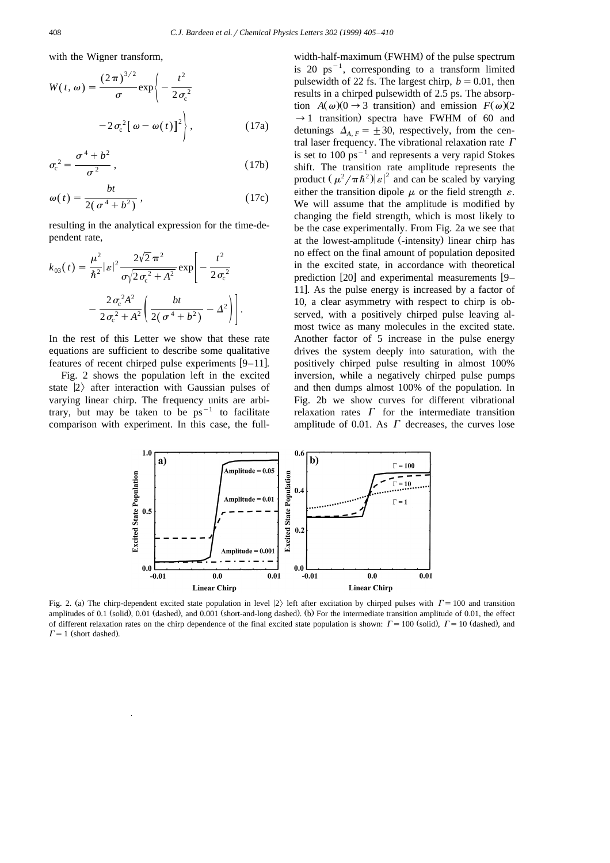with the Wigner transform,

$$
W(t, \omega) = \frac{(2\pi)^{3/2}}{\sigma} \exp\left\{-\frac{t^2}{2\sigma_c^2}\right\}
$$

$$
-2\sigma_c^2[\omega - \omega(t)]^2\Bigg\},
$$
(17a)

$$
\sigma_{\rm c}^2 = \frac{\sigma^4 + b^2}{\sigma^2} \,, \tag{17b}
$$

$$
\omega(t) = \frac{bt}{2(\sigma^4 + b^2)},\tag{17c}
$$

resulting in the analytical expression for the time-dependent rate,

$$
k_{03}(t) = \frac{\mu^2}{\hbar^2} |\varepsilon|^2 \frac{2\sqrt{2} \pi^2}{\sigma \sqrt{2 \sigma_c^2 + A^2}} \exp \left[ -\frac{t^2}{2 \sigma_c^2} -\frac{2 \sigma_c^2 A^2}{2 \sigma_c^2 + A^2} \left( \frac{bt}{2(\sigma^4 + b^2)} - A^2 \right) \right].
$$

In the rest of this Letter we show that these rate equations are sufficient to describe some qualitative features of recent chirped pulse experiments  $[9-11]$ .

Fig. 2 shows the population left in the excited state  $|2\rangle$  after interaction with Gaussian pulses of varying linear chirp. The frequency units are arbitrary, but may be taken to be  $ps^{-1}$  to facilitate comparison with experiment. In this case, the fullwidth-half-maximum (FWHM) of the pulse spectrum is 20 ps<sup> $-1$ </sup>, corresponding to a transform limited pulsewidth of 22 fs. The largest chirp,  $b = 0.01$ , then results in a chirped pulsewidth of 2.5 ps. The absorption  $A(\omega)(0 \rightarrow 3$  transition) and emission  $F(\omega)(2)$  $\rightarrow$  1 transition) spectra have FWHM of 60 and detunings  $\Delta_{A,F} = \pm 30$ , respectively, from the central laser frequency. The vibrational relaxation rate  $\Gamma$ is set to  $100 \text{ ps}^{-1}$  and represents a very rapid Stokes shift. The transition rate amplitude represents the product  $(\mu^2 / \pi \hbar^2)|\varepsilon|^2$  and can be scaled by varying either the transition dipole  $\mu$  or the field strength  $\varepsilon$ . We will assume that the amplitude is modified by changing the field strength, which is most likely to be the case experimentally. From Fig. 2a we see that at the lowest-amplitude (-intensity) linear chirp has no effect on the final amount of population deposited in the excited state, in accordance with theoretical prediction  $[20]$  and experimental measurements  $[9-$ 11. As the pulse energy is increased by a factor of 10, a clear asymmetry with respect to chirp is observed, with a positively chirped pulse leaving almost twice as many molecules in the excited state. Another factor of 5 increase in the pulse energy drives the system deeply into saturation, with the positively chirped pulse resulting in almost 100% inversion, while a negatively chirped pulse pumps and then dumps almost 100% of the population. In Fig. 2b we show curves for different vibrational relaxation rates  $\Gamma$  for the intermediate transition amplitude of 0.01. As  $\Gamma$  decreases, the curves lose



Fig. 2. (a) The chirp-dependent excited state population in level  $|2\rangle$  left after excitation by chirped pulses with  $\Gamma = 100$  and transition amplitudes of 0.1 (solid), 0.01 (dashed), and 0.001 (short-and-long dashed). (b) For the intermediate transition amplitude of 0.01, the effect of different relaxation rates on the chirp dependence of the final excited state population is shown:  $\Gamma = 100$  (solid),  $\Gamma = 10$  (dashed), and  $\Gamma = 1$  (short dashed).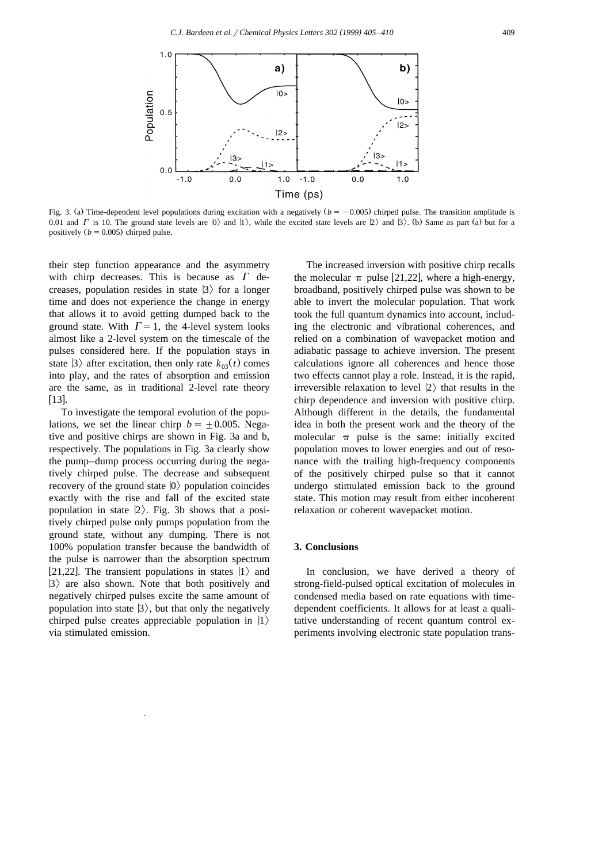

Fig. 3. (a) Time-dependent level populations during excitation with a negatively  $(b = -0.005)$  chirped pulse. The transition amplitude is 0.01 and  $\Gamma$  is 10. The ground state levels are  $|0\rangle$  and  $|1\rangle$ , while the excited state levels are  $|2\rangle$  and  $|3\rangle$ . (b) Same as part (a) but for a positively  $(b = 0.005)$  chirped pulse.

their step function appearance and the asymmetry with chirp decreases. This is because as  $\Gamma$  decreases, population resides in state  $|3\rangle$  for a longer time and does not experience the change in energy that allows it to avoid getting dumped back to the ground state. With  $\Gamma = 1$ , the 4-level system looks almost like a 2-level system on the timescale of the pulses considered here. If the population stays in state  $|3\rangle$  after excitation, then only rate  $k_{03}(t)$  comes into play, and the rates of absorption and emission are the same, as in traditional 2-level rate theory  $[13]$ .

To investigate the temporal evolution of the populations, we set the linear chirp  $b = \pm 0.005$ . Negative and positive chirps are shown in Fig. 3a and b, respectively. The populations in Fig. 3a clearly show the pump–dump process occurring during the negatively chirped pulse. The decrease and subsequent recovery of the ground state  $|0\rangle$  population coincides exactly with the rise and fall of the excited state population in state  $|2\rangle$ . Fig. 3b shows that a positively chirped pulse only pumps population from the ground state, without any dumping. There is not 100% population transfer because the bandwidth of the pulse is narrower than the absorption spectrum [21,22]. The transient populations in states  $|1\rangle$  and  $|3\rangle$  are also shown. Note that both positively and negatively chirped pulses excite the same amount of population into state  $|3\rangle$ , but that only the negatively chirped pulse creates appreciable population in  $|1\rangle$ via stimulated emission.

The increased inversion with positive chirp recalls the molecular  $\pi$  pulse [21,22], where a high-energy, broadband, positively chirped pulse was shown to be able to invert the molecular population. That work took the full quantum dynamics into account, including the electronic and vibrational coherences, and relied on a combination of wavepacket motion and adiabatic passage to achieve inversion. The present calculations ignore all coherences and hence those two effects cannot play a role. Instead, it is the rapid, irreversible relaxation to level  $|2\rangle$  that results in the chirp dependence and inversion with positive chirp. Although different in the details, the fundamental idea in both the present work and the theory of the molecular  $\pi$  pulse is the same: initially excited population moves to lower energies and out of resonance with the trailing high-frequency components of the positively chirped pulse so that it cannot undergo stimulated emission back to the ground state. This motion may result from either incoherent relaxation or coherent wavepacket motion.

## **3. Conclusions**

In conclusion, we have derived a theory of strong-field-pulsed optical excitation of molecules in condensed media based on rate equations with timedependent coefficients. It allows for at least a qualitative understanding of recent quantum control experiments involving electronic state population trans-